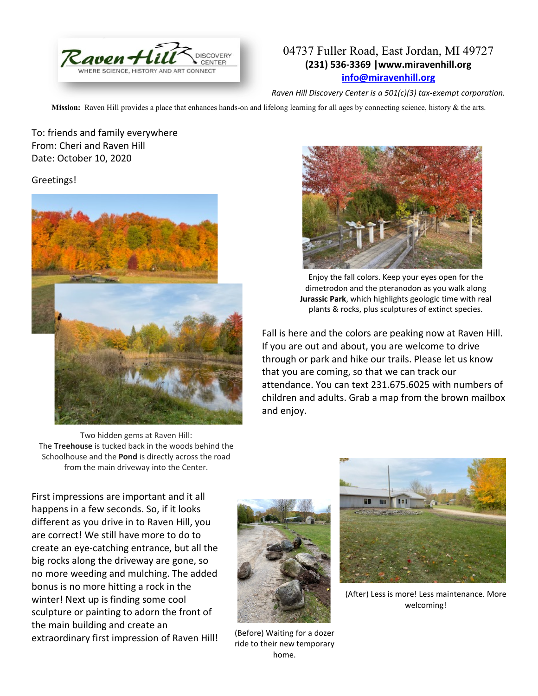

## 04737 Fuller Road, East Jordan, MI 49727 **(231) 536-3369 |www.miravenhill.org [info@miravenhill.org](mailto:info@miravenhill.org)**

## *Raven Hill Discovery Center is a 501(c)(3) tax-exempt corporation.*

**Mission:** Raven Hill provides a place that enhances hands-on and lifelong learning for all ages by connecting science, history & the arts.

To: friends and family everywhere From: Cheri and Raven Hill Date: October 10, 2020

## Greetings!



Two hidden gems at Raven Hill: The **Treehouse** is tucked back in the woods behind the Schoolhouse and the **Pond** is directly across the road from the main driveway into the Center.



Enjoy the fall colors. Keep your eyes open for the dimetrodon and the pteranodon as you walk along **Jurassic Park**, which highlights geologic time with real plants & rocks, plus sculptures of extinct species.

Fall is here and the colors are peaking now at Raven Hill. If you are out and about, you are welcome to drive through or park and hike our trails. Please let us know that you are coming, so that we can track our attendance. You can text 231.675.6025 with numbers of children and adults. Grab a map from the brown mailbox and enjoy.

First impressions are important and it all happens in a few seconds. So, if it looks different as you drive in to Raven Hill, you are correct! We still have more to do to create an eye-catching entrance, but all the big rocks along the driveway are gone, so no more weeding and mulching. The added bonus is no more hitting a rock in the winter! Next up is finding some cool sculpture or painting to adorn the front of the main building and create an extraordinary first impression of Raven Hill!



(Before) Waiting for a dozer ride to their new temporary home.



(After) Less is more! Less maintenance. More welcoming!